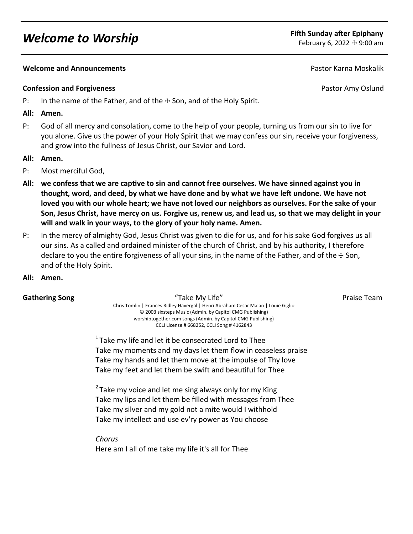# *Welcome to Worship* **Fifth Sunday after Epiphany**

## **Melcome and Announcements Pastor Karna Moskalik Pastor Karna Moskalik Pastor Karna Moskalik**

### **Confession and Forgiveness Confession and Forgiveness Pastor Amy Oslund**

- P: In the name of the Father, and of the  $\pm$  Son, and of the Holy Spirit.
- **All: Amen.**
- P: God of all mercy and consolation, come to the help of your people, turning us from our sin to live for you alone. Give us the power of your Holy Spirit that we may confess our sin, receive your forgiveness, and grow into the fullness of Jesus Christ, our Savior and Lord.
- **All: Amen.**
- P: Most merciful God,
- **All: we confess that we are captive to sin and cannot free ourselves. We have sinned against you in thought, word, and deed, by what we have done and by what we have left undone. We have not loved you with our whole heart; we have not loved our neighbors as ourselves. For the sake of your Son, Jesus Christ, have mercy on us. Forgive us, renew us, and lead us, so that we may delight in your will and walk in your ways, to the glory of your holy name. Amen.**
- P: In the mercy of almighty God, Jesus Christ was given to die for us, and for his sake God forgives us all our sins. As a called and ordained minister of the church of Christ, and by his authority, I therefore declare to you the entire forgiveness of all your sins, in the name of the Father, and of the  $+$  Son, and of the Holy Spirit.
- **All: Amen.**

**Gathering Song Take My Life Take My Life Team** Praise Team Chris Tomlin | Frances Ridley Havergal | Henri Abraham Cesar Malan | Louie Giglio © 2003 sixsteps Music (Admin. by Capitol CMG Publishing) worshiptogether.com songs (Admin. by Capitol CMG Publishing) CCLI License # 668252, CCLI Song # 4162843

 $1$ Take my life and let it be consecrated Lord to Thee Take my moments and my days let them flow in ceaseless praise Take my hands and let them move at the impulse of Thy love Take my feet and let them be swift and beautiful for Thee

 $2$  Take my voice and let me sing always only for my King Take my lips and let them be filled with messages from Thee Take my silver and my gold not a mite would I withhold Take my intellect and use ev'ry power as You choose

*Chorus* Here am I all of me take my life it's all for Thee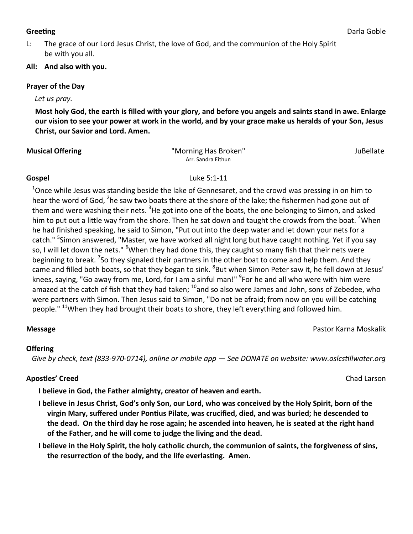L: The grace of our Lord Jesus Christ, the love of God, and the communion of the Holy Spirit be with you all.

# **All: And also with you.**

### **Prayer of the Day**

### *Let us pray.*

**Most holy God, the earth is filled with your glory, and before you angels and saints stand in awe. Enlarge our vision to see your power at work in the world, and by your grace make us heralds of your Son, Jesus Christ, our Savior and Lord. Amen.**

| <b>Musical Offering</b> |  |
|-------------------------|--|
|                         |  |

**Musical Offering** "Morning Has Broken" JuBellate Arr. Sandra Eithun

<sup>1</sup>Once while Jesus was standing beside the lake of Gennesaret, and the crowd was pressing in on him to hear the word of God, <sup>2</sup>he saw two boats there at the shore of the lake; the fishermen had gone out of them and were washing their nets. <sup>3</sup>He got into one of the boats, the one belonging to Simon, and asked him to put out a little way from the shore. Then he sat down and taught the crowds from the boat. "When he had finished speaking, he said to Simon, "Put out into the deep water and let down your nets for a catch." <sup>5</sup>Simon answered, "Master, we have worked all night long but have caught nothing. Yet if you say so, I will let down the nets." <sup>6</sup>When they had done this, they caught so many fish that their nets were beginning to break. <sup>7</sup>So they signaled their partners in the other boat to come and help them. And they came and filled both boats, so that they began to sink. <sup>8</sup>But when Simon Peter saw it, he fell down at Jesus' knees, saying, "Go away from me, Lord, for I am a sinful man!" <sup>9</sup>For he and all who were with him were amazed at the catch of fish that they had taken;  $^{10}$ and so also were James and John, sons of Zebedee, who were partners with Simon. Then Jesus said to Simon, "Do not be afraid; from now on you will be catching people." <sup>11</sup>When they had brought their boats to shore, they left everything and followed him.

# **Offering**

 *Give by check, text (833-970-0714), online or mobile app — See DONATE on website: www.oslcstillwater.org*

# **Apostles' Creed** Chad Larson

**I believe in God, the Father almighty, creator of heaven and earth.** 

**I believe in Jesus Christ, God's only Son, our Lord, who was conceived by the Holy Spirit, born of the virgin Mary, suffered under Pontius Pilate, was crucified, died, and was buried; he descended to the dead. On the third day he rose again; he ascended into heaven, he is seated at the right hand of the Father, and he will come to judge the living and the dead.** 

**I believe in the Holy Spirit, the holy catholic church, the communion of saints, the forgiveness of sins, the resurrection of the body, and the life everlasting. Amen.**

# **Greeting** Darla Goble



**Gospel** Luke 5:1-11

**Message** Pastor Karna Moskalik